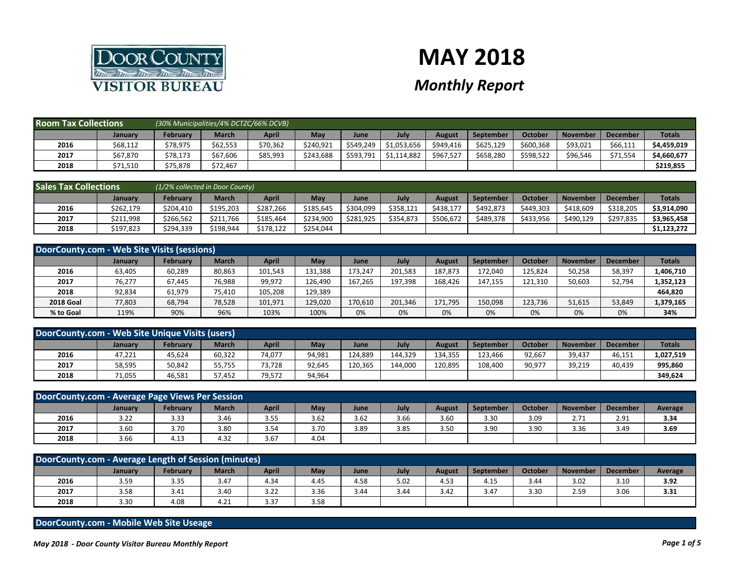

## **MAY 2018**

## *Monthly Report*

| <b>Room Tax Collections</b> |                | (30% Municipalities/4% DCTZC/66% DCVB) |              |              |           |           |             |               |                  |           |          |                 |               |
|-----------------------------|----------------|----------------------------------------|--------------|--------------|-----------|-----------|-------------|---------------|------------------|-----------|----------|-----------------|---------------|
|                             | <b>January</b> | Februarv                               | <b>March</b> | <b>April</b> | May       | June      | July        | <b>August</b> | <b>September</b> | October   | November | <b>December</b> | <b>Totals</b> |
| 2016                        | \$68,112       | \$78,975                               | \$62,553     | \$70,362     | \$240.921 | \$549.249 | \$1,053,656 | \$949.416     | \$625,129        | \$600,368 | \$93,021 | \$66,111        | \$4,459,019   |
| 2017                        | \$67,870       | \$78,173                               | \$67,606     | \$85,993     | \$243.688 | \$593,791 | \$1,114,882 | \$967,527     | \$658,280        | \$598,522 | \$96,546 | \$71,554        | \$4,660,677   |
| 2018                        | \$71,510       | \$75,878                               | \$72,467     |              |           |           |             |               |                  |           |          |                 | \$219,855     |

| <b>Sales Tax Collections</b> |           | (1/2% collected in Door County) |           |           |           |           |           |           |                  |           |                 |                 |               |
|------------------------------|-----------|---------------------------------|-----------|-----------|-----------|-----------|-----------|-----------|------------------|-----------|-----------------|-----------------|---------------|
|                              | January   | Februarv                        | March     | April     | May       | June      | July      | August    | <b>September</b> | October   | <b>November</b> | <b>December</b> | <b>Totals</b> |
| 2016                         | \$262,179 | \$204.410                       | \$195,203 | \$287,266 | \$185,645 | \$304,099 | \$358,121 | \$438,177 | \$492,873        | \$449,303 | \$418,609       | \$318,205       | \$3,914,090   |
| 2017                         | \$211,998 | \$266,562                       | \$211,766 | \$185,464 | \$234,900 | \$281,925 | \$354,873 | \$506,672 | \$489,378        | \$433,956 | \$490,129       | \$297,835       | \$3,965,458   |
| 2018                         | \$197,823 | \$294,339                       | \$198,944 | 178,122ء  | \$254,044 |           |           |           |                  |           |                 |                 | \$1,123,272   |

| DoorCounty.com - Web Site Visits (sessions) |                |          |              |         |         |         |         |         |                  |         |                 |                 |               |
|---------------------------------------------|----------------|----------|--------------|---------|---------|---------|---------|---------|------------------|---------|-----------------|-----------------|---------------|
|                                             | <b>January</b> | February | <b>March</b> | April   | May     | June    | July    | August  | <b>September</b> | October | <b>November</b> | <b>December</b> | <b>Totals</b> |
| 2016                                        | 63,405         | 60,289   | 80,863       | 101,543 | 131,388 | 173.247 | 201.583 | 187.873 | 172.040          | 125.824 | 50,258          | 58,397          | 1,406,710     |
| 2017                                        | 76,277         | 67,445   | 76,988       | 99,972  | 126.490 | 167.265 | 197.398 | 168,426 | 147,155          | 121.310 | 50,603          | 52,794          | 1,352,123     |
| 2018                                        | 92,834         | 61,979   | 75,410       | 105,208 | 129,389 |         |         |         |                  |         |                 |                 | 464,820       |
| <b>2018 Goal</b>                            | 77,803         | 68,794   | 78,528       | 101,971 | 129,020 | 170,610 | 201,346 | 171,795 | 150,098          | 123.736 | 51,615          | 53,849          | 1,379,165     |
| % to Goal                                   | 119%           | 90%      | 96%          | 103%    | 100%    | 0%      | 0%      | 0%      | 0%               | 0%      | 0%              | 0%              | 34%           |

| DoorCounty.com - Web Site Unique Visits (users) |                |                 |              |        |        |         |         |         |                  |         |                 |          |               |
|-------------------------------------------------|----------------|-----------------|--------------|--------|--------|---------|---------|---------|------------------|---------|-----------------|----------|---------------|
|                                                 | <b>January</b> | <b>February</b> | <b>March</b> | April  | May    | June    | July    | August  | <b>September</b> | October | <b>November</b> | December | <b>Totals</b> |
| 2016                                            | 47,221         | 45,624          | 60,322       | 74,077 | 94,981 | 124.889 | 144.329 | 134.355 | 123.466          | 92,667  | 39,437          | 46.151   | 1,027,519     |
| 2017                                            | 58,595         | 50,842          | 55,755       | 73,728 | 92.645 | 120.365 | 144,000 | 120.895 | 108,400          | 90,977  | 39,219          | 40.439   | 995,860       |
| 2018                                            | 71,055         | 46,581          | 57,452       | 79,572 | 94,964 |         |         |         |                  |         |                 |          | 349.624       |

| DoorCounty.com - Average Page Views Per Session |         |          |              |              |      |      |      |        |                  |         |          |                 |         |
|-------------------------------------------------|---------|----------|--------------|--------------|------|------|------|--------|------------------|---------|----------|-----------------|---------|
|                                                 | January | February | <b>March</b> | <b>April</b> | May  | June | July | August | <b>September</b> | October | November | <b>December</b> | Average |
| 2016                                            | 3.22    | 3.33     | 3.46         | 3.55         | 3.62 | 3.62 | 3.66 | 3.60   | 3.30             | 3.09    | 2.71     | 2.91            | 3.34    |
| 2017                                            | 3.60    | 3.70     | 3.80         | 3.54         | 3.70 | 3.89 | 3.85 | 3.50   | 3.90             | 3.90    | 3.36     | 3.49            | 3.69    |
| 2018                                            | 3.66    | 4.13     | 4.32         | 3.67         | 4.04 |      |      |        |                  |         |          |                 |         |

| DoorCounty.com - Average Length of Session (minutes) |         |          |              |              |      |      |      |        |           |         |                 |                 |         |
|------------------------------------------------------|---------|----------|--------------|--------------|------|------|------|--------|-----------|---------|-----------------|-----------------|---------|
|                                                      | January | February | <b>March</b> | <b>April</b> | May  | June | July | August | September | October | <b>November</b> | <b>December</b> | Average |
| 2016                                                 | 3.59    | 3.35     | 3.47         | 4.34         | 4.45 | 4.58 | 5.02 | 4.53   | 4.15      | 3.44    | 3.02            | 3.10            | 3.92    |
| 2017                                                 | 3.58    | 3.41     | 3.40         | 3.22         | 3.36 | 3.44 | 3.44 | 3.42   | 3.47      | 3.3C    | 2.59            | 3.06            | 3.31    |
| 2018                                                 | 3.30    | 4.08     | 4.21         | 3.37         | 3.58 |      |      |        |           |         |                 |                 |         |

## **DoorCounty.com - Mobile Web Site Useage**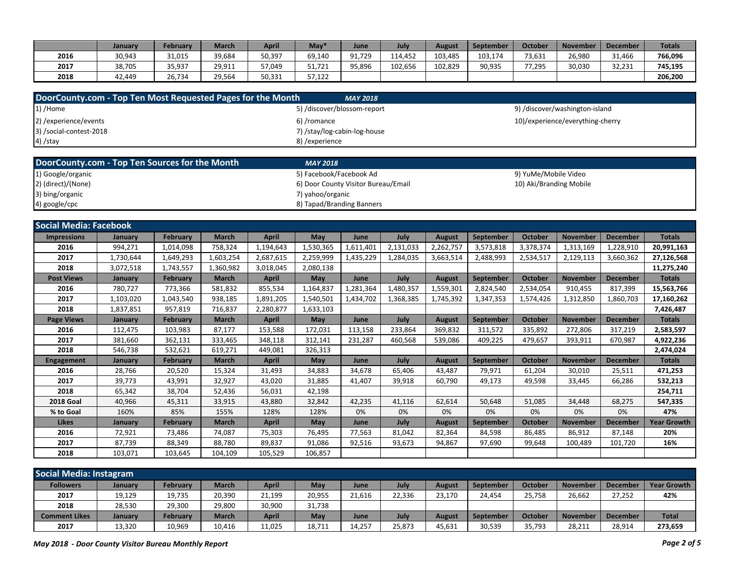|      | Januarv | February | <b>March</b> | <b>April</b> | $M$ ay <sup>*</sup> | June   | July    | August  | <b>September</b> | October | <b>November</b> | December | <b>Totals</b> |
|------|---------|----------|--------------|--------------|---------------------|--------|---------|---------|------------------|---------|-----------------|----------|---------------|
| 2016 | 30,943  | 31,015   | 39,684       | 50,397       | 69,140              | 91.729 | 114.452 | 103,485 | 103,174          | 73,631  | 26,980          | 31,466   | 766,096       |
| 2017 | 38,705  | 35.937   | 29,911       | 57,049       | 51,721              | 95.896 | 102,656 | 102,829 | 90,935           | 77,295  | 30,030          | 32,231   | 745,195       |
| 2018 | 42.449  | 26.734   | 29,564       | 50,331       | 57.122              |        |         |         |                  |         |                 |          | 206.200       |

| DoorCounty.com - Top Ten Most Requested Pages for the Month |           |                 |              |              |                                     | <b>MAY 2018</b> |           |               |                  |                         |                                  |                 |                    |
|-------------------------------------------------------------|-----------|-----------------|--------------|--------------|-------------------------------------|-----------------|-----------|---------------|------------------|-------------------------|----------------------------------|-----------------|--------------------|
| 1) /Home                                                    |           |                 |              |              | 5) /discover/blossom-report         |                 |           |               |                  |                         | 9) /discover/washington-island   |                 |                    |
| 2) /experience/events                                       |           |                 |              |              | 6) /romance                         |                 |           |               |                  |                         | 10)/experience/everything-cherry |                 |                    |
| 3) /social-contest-2018                                     |           |                 |              |              | 7) /stay/log-cabin-log-house        |                 |           |               |                  |                         |                                  |                 |                    |
| 4) /stay                                                    |           |                 |              |              | 8) / experience                     |                 |           |               |                  |                         |                                  |                 |                    |
|                                                             |           |                 |              |              |                                     |                 |           |               |                  |                         |                                  |                 |                    |
| DoorCounty.com - Top Ten Sources for the Month              |           |                 |              |              | <b>MAY 2018</b>                     |                 |           |               |                  |                         |                                  |                 |                    |
| 1) Google/organic                                           |           |                 |              |              | 5) Facebook/Facebook Ad             |                 |           |               |                  | 9) YuMe/Mobile Video    |                                  |                 |                    |
| 2) (direct)/(None)                                          |           |                 |              |              | 6) Door County Visitor Bureau/Email |                 |           |               |                  | 10) Aki/Branding Mobile |                                  |                 |                    |
| 3) bing/organic                                             |           |                 |              |              | 7) vahoo/organic                    |                 |           |               |                  |                         |                                  |                 |                    |
| 4) google/cpc                                               |           |                 |              |              | 8) Tapad/Branding Banners           |                 |           |               |                  |                         |                                  |                 |                    |
|                                                             |           |                 |              |              |                                     |                 |           |               |                  |                         |                                  |                 |                    |
| <b>Social Media: Facebook</b>                               |           |                 |              |              |                                     |                 |           |               |                  |                         |                                  |                 |                    |
| <b>Impressions</b>                                          | January   | February        | <b>March</b> | <b>April</b> | May                                 | June            | July      | <b>August</b> | September        | October                 | <b>November</b>                  | <b>December</b> | <b>Totals</b>      |
| 2016                                                        | 994,271   | 1,014,098       | 758,324      | 1,194,643    | 1,530,365                           | 1,611,401       | 2,131,033 | 2,262,757     | 3,573,818        | 3,378,374               | 1,313,169                        | 1,228,910       | 20,991,163         |
| 2017                                                        | 1,730,644 | 1,649,293       | 1,603,254    | 2,687,615    | 2,259,999                           | 1,435,229       | 1,284,035 | 3,663,514     | 2,488,993        | 2,534,517               | 2,129,113                        | 3,660,362       | 27,126,568         |
| 2018                                                        | 3,072,518 | 1,743,557       | 1,360,982    | 3,018,045    | 2,080,138                           |                 |           |               |                  |                         |                                  |                 | 11,275,240         |
| <b>Post Views</b>                                           | January   | <b>February</b> | <b>March</b> | <b>April</b> | May                                 | June            | July      | <b>August</b> | <b>September</b> | <b>October</b>          | <b>November</b>                  | <b>December</b> | <b>Totals</b>      |
| 2016                                                        | 780,727   | 773,366         | 581,832      | 855,534      | 1,164,837                           | 1,281,364       | 1,480,357 | 1,559,301     | 2,824,540        | 2,534,054               | 910,455                          | 817,399         | 15,563,766         |
| 2017                                                        | 1,103,020 | 1,043,540       | 938,185      | 1,891,205    | 1,540,501                           | 1,434,702       | 1,368,385 | 1,745,392     | 1,347,353        | 1,574,426               | 1,312,850                        | 1,860,703       | 17,160,262         |
| 2018                                                        | 1,837,851 | 957,819         | 716,837      | 2,280,877    | 1,633,103                           |                 |           |               |                  |                         |                                  |                 | 7,426,487          |
| <b>Page Views</b>                                           | January   | February        | <b>March</b> | <b>April</b> | May                                 | June            | July      | <b>August</b> | <b>September</b> | October                 | <b>November</b>                  | <b>December</b> | <b>Totals</b>      |
| 2016                                                        | 112,475   | 103,983         | 87,177       | 153,588      | 172,031                             | 113,158         | 233,864   | 369,832       | 311,572          | 335,892                 | 272,806                          | 317,219         | 2,583,597          |
| 2017                                                        | 381,660   | 362,131         | 333,465      | 348,118      | 312,141                             | 231,287         | 460,568   | 539,086       | 409,225          | 479,657                 | 393,911                          | 670,987         | 4,922,236          |
| 2018                                                        | 546,738   | 532,621         | 619,271      | 449,081      | 326,313                             |                 |           |               |                  |                         |                                  |                 | 2,474,024          |
| <b>Engagement</b>                                           | January   | <b>February</b> | <b>March</b> | <b>April</b> | May                                 | June            | July      | <b>August</b> | <b>September</b> | October                 | <b>November</b>                  | <b>December</b> | <b>Totals</b>      |
| 2016                                                        | 28,766    | 20,520          | 15,324       | 31,493       | 34,883                              | 34,678          | 65,406    | 43,487        | 79,971           | 61,204                  | 30,010                           | 25,511          | 471,253            |
| 2017                                                        | 39,773    | 43,991          | 32,927       | 43,020       | 31,885                              | 41,407          | 39,918    | 60,790        | 49,173           | 49,598                  | 33,445                           | 66,286          | 532,213            |
| 2018                                                        | 65,342    | 38,704          | 52,436       | 56,031       | 42,198                              |                 |           |               |                  |                         |                                  |                 | 254,711            |
| <b>2018 Goal</b>                                            | 40,966    | 45,311          | 33,915       | 43,880       | 32,842                              | 42,235          | 41,116    | 62,614        | 50,648           | 51,085                  | 34,448                           | 68,275          | 547,335            |
| % to Goal                                                   | 160%      | 85%             | 155%         | 128%         | 128%                                | 0%              | 0%        | 0%            | 0%               | 0%                      | 0%                               | 0%              | 47%                |
| <b>Likes</b>                                                | January   | February        | <b>March</b> | <b>April</b> | May                                 | June            | July      | <b>August</b> | September        | October                 | <b>November</b>                  | <b>December</b> | <b>Year Growth</b> |
| 2016                                                        | 72,921    | 73,486          | 74,087       | 75,303       | 76,495                              | 77,563          | 81,042    | 82,364        | 84,598           | 86,485                  | 86,912                           | 87,148          | 20%                |
| 2017                                                        | 87,739    | 88,349          | 88,780       | 89,837       | 91,086                              | 92,516          | 93,673    | 94,867        | 97,690           | 99,648                  | 100,489                          | 101,720         | 16%                |
| 2018                                                        | 103.071   | 103,645         | 104,109      | 105,529      | 106,857                             |                 |           |               |                  |                         |                                  |                 |                    |

| <b>Social Media: Instagram</b> |         |          |              |        |            |        |        |        |                  |         |                 |                 |                    |
|--------------------------------|---------|----------|--------------|--------|------------|--------|--------|--------|------------------|---------|-----------------|-----------------|--------------------|
| <b>Followers</b>               | January | Februarv | March        | April  | May        | June   | July   | August | <b>September</b> | October | <b>November</b> | December        | <b>Year Growth</b> |
| 2017                           | 19,129  | 19,735   | 20,390       | 21,199 | 20,955     | 21,616 | 22,336 | 23,170 | 24,454           | 25.758  | 26,662          | 27,252          | 42%                |
| 2018                           | 28,530  | 29,300   | 29,800       | 30,900 | 31,738     |        |        |        |                  |         |                 |                 |                    |
| <b>Comment Likes</b>           | January | Februarv | <b>March</b> | April  | <b>May</b> | June   | July   | August | <b>September</b> | October | <b>November</b> | <b>December</b> | <b>Total</b>       |
| 2017                           | 13,320  | 10,969   | 10,416       | 11,025 | 18,711     | 14,257 | 25,873 | 45,631 | 30,539           | 35,793  | 28,211          | 28,914          | 273,659            |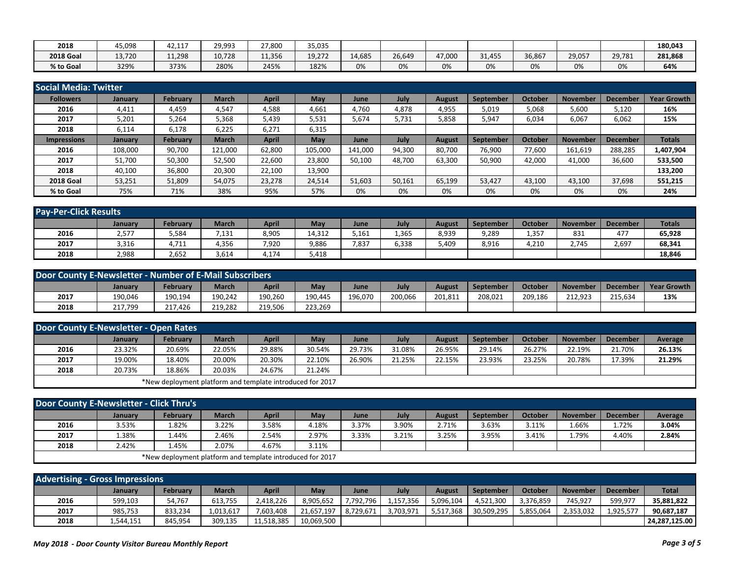| 2018             | 45,098 | 12.11<br>42,11. | 9 9 9 3<br>ل ر ر ر | 27,800 | 35,035 |        |        |        |                       |        |        |        | 180,043 |
|------------------|--------|-----------------|--------------------|--------|--------|--------|--------|--------|-----------------------|--------|--------|--------|---------|
| <b>2018 Goal</b> | 13,720 | 11,298          | 10.728             | 11,356 | 19.272 | 14,685 | 26,649 | 47,000 | 1,455<br>$\mathbf{a}$ | 36,867 | 29,057 | 29,781 | 281,868 |
| % to Goal        | 329%   | 373%            | 280%               | 245%   | 182%   | 0%     | 0%     | 0%     | 0%                    | 0%     | 0%     | 0%     | 64%     |

| Social Media: Twitter |         |          |              |              |         |         |        |               |           |         |                 |                 |                    |
|-----------------------|---------|----------|--------------|--------------|---------|---------|--------|---------------|-----------|---------|-----------------|-----------------|--------------------|
| <b>Followers</b>      | January | February | <b>March</b> | April        | May     | June    | July   | August        | September | October | November        | <b>December</b> | <b>Year Growth</b> |
| 2016                  | 4,411   | 4,459    | 4,547        | 4,588        | 4,661   | 4,760   | 4,878  | 4,955         | 5,019     | 5,068   | 5,600           | 5,120           | 16%                |
| 2017                  | 5,201   | 5,264    | 5,368        | 5,439        | 5,531   | 5,674   | 5,731  | 5,858         | 5,947     | 6,034   | 6,067           | 6,062           | 15%                |
| 2018                  | 6,114   | 6,178    | 6,225        | 6,271        | 6,315   |         |        |               |           |         |                 |                 |                    |
| <b>Impressions</b>    | January | February | <b>March</b> | <b>April</b> | May     | June    | July   | <b>August</b> | September | October | <b>November</b> | <b>December</b> | <b>Totals</b>      |
| 2016                  | 108,000 | 90,700   | 121,000      | 62,800       | 105,000 | 141,000 | 94,300 | 80,700        | 76,900    | 77,600  | 161,619         | 288,285         | 1,407,904          |
| 2017                  | 51,700  | 50,300   | 52,500       | 22,600       | 23,800  | 50,100  | 48,700 | 63,300        | 50,900    | 42,000  | 41,000          | 36,600          | 533,500            |
| 2018                  | 40,100  | 36,800   | 20,300       | 22,100       | 13,900  |         |        |               |           |         |                 |                 | 133,200            |
| <b>2018 Goal</b>      | 53,251  | 51,809   | 54,075       | 23,278       | 24,514  | 51,603  | 50,161 | 65,199        | 53,427    | 43,100  | 43,100          | 37,698          | 551,215            |
| % to Goal             | 75%     | 71%      | 38%          | 95%          | 57%     | 0%      | 0%     | 0%            | 0%        | 0%      | 0%              | 0%              | 24%                |

| <b>Pay-Per-Click Results</b> |                |          |              |       |        |       |       |        |                  |         |                 |          |               |
|------------------------------|----------------|----------|--------------|-------|--------|-------|-------|--------|------------------|---------|-----------------|----------|---------------|
|                              | <b>January</b> | February | <b>March</b> | April | May    | June  | July  | August | <b>September</b> | October | <b>November</b> | December | <b>Totals</b> |
| 2016                         | 2,577          | 5,584    | 7,131        | 8,905 | 14,312 | 5,161 | 1,365 | 8,939  | 9,289            | 1,357   | 831             | 477      | 65,928        |
| 2017                         | 3,316          | 4,711    | 4,356        | 7,920 | 9,886  | 7,837 | 6,338 | 5,409  | 8,916            | 4,210   | 2,745           | 2,697    | 68,341        |
| 2018                         | 2,988          | 2,652    | 3,614        | 4,174 | 5,418  |       |       |        |                  |         |                 |          | 18,846        |

| Door County E-Newsletter - Number of E-Mail Subscribers |         |                 |              |              |         |         |         |         |                  |         |                 |                 |                    |
|---------------------------------------------------------|---------|-----------------|--------------|--------------|---------|---------|---------|---------|------------------|---------|-----------------|-----------------|--------------------|
|                                                         | January | <b>February</b> | <b>March</b> | <b>April</b> | May     | June    | July    | August  | <b>September</b> | October | <b>November</b> | <b>December</b> | <b>Year Growth</b> |
| 2017                                                    | 190.046 | 190.194         | 190.242      | 190,260      | 190.445 | 196.070 | 200.066 | 201,811 | 208.021          | 209.186 | 212.923         | 215.634         | 13%                |
| 2018                                                    | 217,799 | 217.426         | 219,282      | 219,506      | 223,269 |         |         |         |                  |         |                 |                 |                    |

| <b>Door County E-Newsletter - Open Rates</b> |                |                                                           |              |              |        |        |        |        |                  |         |                 |                 |         |
|----------------------------------------------|----------------|-----------------------------------------------------------|--------------|--------------|--------|--------|--------|--------|------------------|---------|-----------------|-----------------|---------|
|                                              | <b>January</b> | <b>February</b>                                           | <b>March</b> | <b>April</b> | May    | June   | July   | August | <b>September</b> | October | <b>November</b> | <b>December</b> | Average |
| 2016                                         | 23.32%         | 20.69%                                                    | 22.05%       | 29.88%       | 30.54% | 29.73% | 31.08% | 26.95% | 29.14%           | 26.27%  | 22.19%          | 21.70%          | 26.13%  |
| 2017                                         | 19.00%         | 18.40%                                                    | 20.00%       | 20.30%       | 22.10% | 26.90% | 21.25% | 22.15% | 23.93%           | 23.25%  | 20.78%          | 17.39%          | 21.29%  |
| 2018                                         | 20.73%         | 18.86%                                                    | 20.03%       | 24.67%       | 21.24% |        |        |        |                  |         |                 |                 |         |
|                                              |                | *New deployment platform and template introduced for 2017 |              |              |        |        |        |        |                  |         |                 |                 |         |

| Door County E-Newsletter - Click Thru's |         |                                                           |       |       |       |       |       |        |                  |         |                 |                 |         |
|-----------------------------------------|---------|-----------------------------------------------------------|-------|-------|-------|-------|-------|--------|------------------|---------|-----------------|-----------------|---------|
|                                         | January | <b>February</b>                                           | March | April | May   | June  | July  | August | <b>September</b> | October | <b>November</b> | <b>December</b> | Average |
| 2016                                    | 3.53%   | 82%،                                                      | 3.22% | 3.58% | 4.18% | 3.37% | 3.90% | 2.71%  | 3.63%            | 3.11%   | .66%.           | 1.72%           | 3.04%   |
| 2017                                    | 1.38%   | 1.44%                                                     | 2.46% | 2.54% | 2.97% | 3.33% | 3.21% | 3.25%  | 3.95%            | 3.41%   | 1.79%           | 4.40%           | 2.84%   |
| 2018                                    | 2.42%   | 1.45%                                                     | 2.07% | 4.67% | 3.11% |       |       |        |                  |         |                 |                 |         |
|                                         |         | *New deployment platform and template introduced for 2017 |       |       |       |       |       |        |                  |         |                 |                 |         |

| <b>Advertising - Gross Impressions</b> |           |                 |           |            |            |           |           |           |            |           |                 |                 |                |
|----------------------------------------|-----------|-----------------|-----------|------------|------------|-----------|-----------|-----------|------------|-----------|-----------------|-----------------|----------------|
|                                        | January   | <b>February</b> | March     | April      | May        | June      | July      | August    | September  | October   | <b>November</b> | <b>December</b> | <b>Total</b>   |
| 2016                                   | 599,103   | 54,767          | 613,755   | 2,418,226  | 8,905,652  | 7,792,796 | .,157,356 | 5,096,104 | 4,521,300  | 3,376,859 | 745,927         | 599,977         | 35,881,822     |
| 2017                                   | 985,753   | 833.234         | 1,013,617 | .603,408   | 21,657,197 | 8,729,671 | 3,703,971 | 5,517,368 | 30,509,295 | 5,855,064 | 2,353,032       | 1,925,577       | 90,687,187     |
| 2018                                   | 1,544,151 | 845.954         | 309,135   | 11,518,385 | 10,069,500 |           |           |           |            |           |                 |                 | 124.287.125.00 |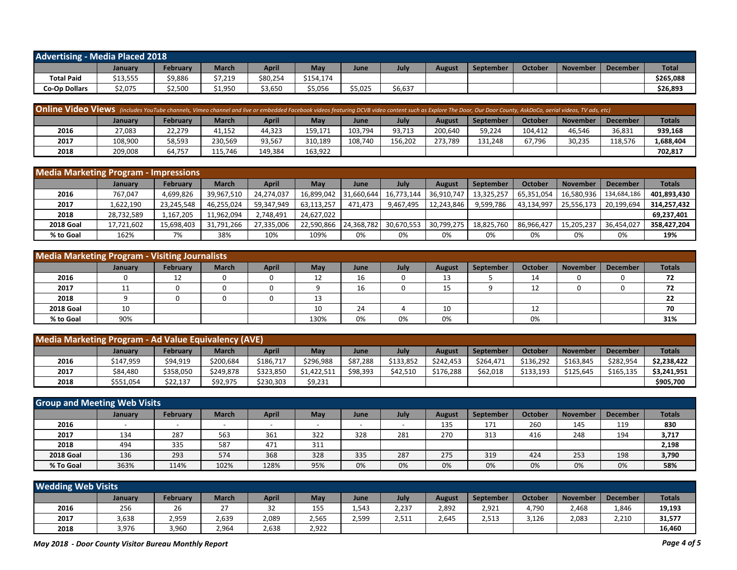| <b>Advertising - Media Placed 2018</b> |          |                   |              |          |           |         |         |        |           |         |                 |                 |              |
|----------------------------------------|----------|-------------------|--------------|----------|-----------|---------|---------|--------|-----------|---------|-----------------|-----------------|--------------|
|                                        | January  | Februarv          | <b>March</b> | April    | Mav       | June    | July    | August | September | October | <b>November</b> | <b>December</b> | <b>Total</b> |
| <b>Total Paid</b>                      | \$13,555 | \$9,886           | \$7,219      | \$80,254 | \$154,174 |         |         |        |           |         |                 |                 | \$265,088    |
| <b>Co-Op Dollars</b>                   | \$2,075  | LO E CO<br>JZ,JUU | \$1,950      | \$3,650  | \$5,056   | \$5,025 | \$6,637 |        |           |         |                 |                 | \$26,893     |

| <b>Online Video Views</b> (includes YouTube channels, Vimeo channel and live or embedded Facebook videos featuring DCVB video content such as Explore The Door, Our Door County, AskDoCo, aerial videos, TV ads, etc) |         |          |              |              |         |         |         |               |           |         |                 |                 |               |
|-----------------------------------------------------------------------------------------------------------------------------------------------------------------------------------------------------------------------|---------|----------|--------------|--------------|---------|---------|---------|---------------|-----------|---------|-----------------|-----------------|---------------|
|                                                                                                                                                                                                                       | January | February | <b>March</b> | <b>April</b> | May     | June    | July    | <b>August</b> | September | October | <b>November</b> | <b>December</b> | <b>Totals</b> |
| 2016                                                                                                                                                                                                                  | 27,083  | 22,279   | 41,152       | 44,323       | 159.171 | 103,794 | 93,713  | 200,640       | 59,224    | 104.412 | 46,546          | 36,831          | 939,168       |
| 2017                                                                                                                                                                                                                  | 108,900 | 58,593   | 230,569      | 93,567       | 310,189 | 108.740 | 156.202 | 273.789       | 131,248   | 67.796  | 30,235          | 118,576         | 1,688,404     |
| 2018                                                                                                                                                                                                                  | 209,008 | 64,757   | 115,746      | 149,384      | 163,922 |         |         |               |           |         |                 |                 | 702,817       |

| <b>Media Marketing Program - Impressions</b> |                |                 |              |            |            |            |            |               |                  |            |                 |                 |               |
|----------------------------------------------|----------------|-----------------|--------------|------------|------------|------------|------------|---------------|------------------|------------|-----------------|-----------------|---------------|
|                                              | <b>January</b> | <b>February</b> | <b>March</b> | April      | May        | June       | July       | <b>August</b> | <b>September</b> | October    | <b>November</b> | <b>December</b> | <b>Totals</b> |
| 2016                                         | 767,047        | 4,699,826       | 39,967,510   | 24.274.037 | 16.899.042 | 31.660.644 | 16,773,144 | 36,910,747    | 13,325,257       | 65.351.054 | 16,580,936      | 134,684,186     | 401,893,430   |
| 2017                                         | 1,622,190      | 23,245,548      | 46,255,024   | 59,347,949 | 63,113,257 | 471.473    | 9,467,495  | 12,243,846    | 9,599,786        | 43,134,997 | 25,556,173      | 20,199,694      | 314,257,432   |
| 2018                                         | 28,732,589     | 1,167,205       | 11,962,094   | 2.748.491  | 24,627,022 |            |            |               |                  |            |                 |                 | 69.237.401    |
| <b>2018 Goal</b>                             | 17,721,602     | 15.698.403      | 31,791,266   | 27,335,006 | 22.590.866 | 24.368.782 | 30,670,553 | 30.799.275    | 18,825,760       | 86.966.427 | 15,205,237      | 36,454,027      | 358,427,204   |
| % to Goal                                    | 162%           | 7%              | 38%          | 10%        | 109%       | 0%         | 0%         | 0%            | 0%               | 0%         | 0%              | 0%              | 19%           |

| <b>Media Marketing Program - Visiting Journalists</b> |                  |                 |              |              |      |      |      |        |           |         |                 |          |               |
|-------------------------------------------------------|------------------|-----------------|--------------|--------------|------|------|------|--------|-----------|---------|-----------------|----------|---------------|
|                                                       | January          | <b>February</b> | <b>March</b> | <b>April</b> | May  | June | July | August | September | October | <b>November</b> | December | <b>Totals</b> |
| 2016                                                  |                  | 12              |              |              | ᅩ    | 16   |      | 13     |           | 14      |                 |          | 72            |
| 2017                                                  | 11<br><b>. .</b> |                 |              |              |      | 16   |      | 15     |           | 12      |                 |          | 72            |
| 2018                                                  |                  |                 |              |              | 13   |      |      |        |           |         |                 |          | 22            |
| <b>2018 Goal</b>                                      | 10               |                 |              |              | 10   | 24   |      | 10     |           | 12      |                 |          | 70            |
| % to Goal                                             | 90%              |                 |              |              | 130% | 0%   | 0%   | 0%     |           | 0%      |                 |          | 31%           |

| Media Marketing Program - Ad Value Equivalency (AVE) |           |           |              |              |             |          |           |           |           |           |                 |                 |               |
|------------------------------------------------------|-----------|-----------|--------------|--------------|-------------|----------|-----------|-----------|-----------|-----------|-----------------|-----------------|---------------|
|                                                      | Januarv   | Februarv  | <b>March</b> | <b>April</b> | May         | June     | July      | August    | September | October   | <b>November</b> | <b>December</b> | <b>Totals</b> |
| 2016                                                 | \$147,959 | \$94,919  | \$200,684    | \$186,717    | \$296,988   | \$87,288 | \$133,852 | \$242.453 | \$264.471 | \$136,292 | \$163,845       | \$282,954       | \$2,238,422   |
| 2017                                                 | \$84,480  | \$358,050 | \$249,878    | \$323,850    | \$1,422.511 | \$98,393 | \$42,510  | \$176,288 | \$62,018  | \$133,193 | \$125,645       | \$165,135       | \$3,241,951   |
| 2018                                                 | \$551,054 | \$22,137  | \$92,975     | \$230,303    | \$9,231     |          |           |           |           |           |                 |                 | \$905,700     |

| <b>Group and Meeting Web Visits</b> |         |                          |                          |              |     |      |      |        |                  |         |                 |                 |               |
|-------------------------------------|---------|--------------------------|--------------------------|--------------|-----|------|------|--------|------------------|---------|-----------------|-----------------|---------------|
|                                     | January | <b>February</b>          | <b>March</b>             | <b>April</b> | May | June | July | August | <b>September</b> | October | <b>November</b> | <b>December</b> | <b>Totals</b> |
| 2016                                |         | $\overline{\phantom{0}}$ | $\overline{\phantom{0}}$ |              |     |      |      | 135    | 171              | 260     | 145             | 119             | 830           |
| 2017                                | 134     | 287                      | 563                      | 361          | 322 | 328  | 281  | 270    | 313              | 416     | 248             | 194             | 3,717         |
| 2018                                | 494     | 335                      | 587                      | 471          | 311 |      |      |        |                  |         |                 |                 | 2,198         |
| <b>2018 Goal</b>                    | 136     | 293                      | 574                      | 368          | 328 | 335  | 287  | 275    | 319              | 424     | 253             | 198             | 3,790         |
| % To Goal                           | 363%    | 114%                     | 102%                     | 128%         | 95% | 0%   | 0%   | 0%     | 0%               | 0%      | 0%              | 0%              | 58%           |

| <b>Wedding Web Visits</b> |         |          |              |              |       |       |       |        |           |         |                 |                 |               |
|---------------------------|---------|----------|--------------|--------------|-------|-------|-------|--------|-----------|---------|-----------------|-----------------|---------------|
|                           | January | February | <b>March</b> | April        | May   | June  | July  | August | September | October | <b>November</b> | <b>December</b> | <b>Totals</b> |
| 2016                      | 256     | 26       |              | $\sim$<br>34 | 155   | 1,543 | 2,237 | 2,892  | 2,921     | 1.790   | 2,468           | 1,846           | 19,193        |
| 2017                      | 3,638   | 2,959    | 2,639        | 2,089        | 2,565 | 2,599 | 2,511 | 2,645  | 2,513     | 3,126   | 2,083           | 2,210           | 31,577        |
| 2018                      | 3,976   | 3,960    | 2,964        | 2,638        | 2.922 |       |       |        |           |         |                 |                 | 16,460        |